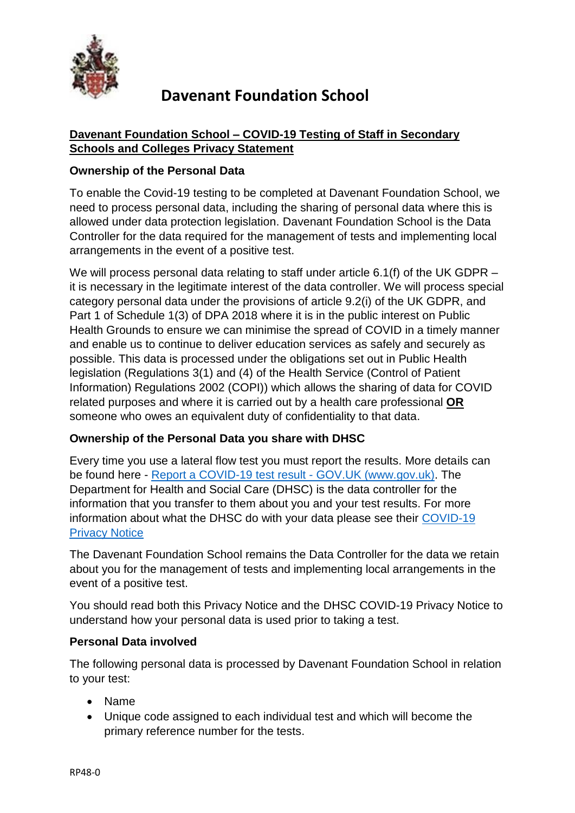

### **Davenant Foundation School – COVID-19 Testing of Staff in Secondary Schools and Colleges Privacy Statement**

#### **Ownership of the Personal Data**

To enable the Covid-19 testing to be completed at Davenant Foundation School, we need to process personal data, including the sharing of personal data where this is allowed under data protection legislation. Davenant Foundation School is the Data Controller for the data required for the management of tests and implementing local arrangements in the event of a positive test.

We will process personal data relating to staff under article 6.1(f) of the UK GDPR – it is necessary in the legitimate interest of the data controller. We will process special category personal data under the provisions of article 9.2(i) of the UK GDPR, and Part 1 of Schedule 1(3) of DPA 2018 where it is in the public interest on Public Health Grounds to ensure we can minimise the spread of COVID in a timely manner and enable us to continue to deliver education services as safely and securely as possible. This data is processed under the obligations set out in Public Health legislation (Regulations 3(1) and (4) of the Health Service (Control of Patient Information) Regulations 2002 (COPI)) which allows the sharing of data for COVID related purposes and where it is carried out by a health care professional **OR** someone who owes an equivalent duty of confidentiality to that data.

#### **Ownership of the Personal Data you share with DHSC**

Every time you use a lateral flow test you must report the results. More details can be found here - [Report a COVID-19 test result -](https://www.gov.uk/report-covid19-result) GOV.UK (www.gov.uk). The Department for Health and Social Care (DHSC) is the data controller for the information that you transfer to them about you and your test results. For more information about what the DHSC do with your data please see their [COVID-19](https://www.gov.uk/government/publications/coronavirus-covid-19-testing-privacy-information)  [Privacy Notice](https://www.gov.uk/government/publications/coronavirus-covid-19-testing-privacy-information)

The Davenant Foundation School remains the Data Controller for the data we retain about you for the management of tests and implementing local arrangements in the event of a positive test.

You should read both this Privacy Notice and the DHSC COVID-19 Privacy Notice to understand how your personal data is used prior to taking a test.

#### **Personal Data involved**

The following personal data is processed by Davenant Foundation School in relation to your test:

- Name
- Unique code assigned to each individual test and which will become the primary reference number for the tests.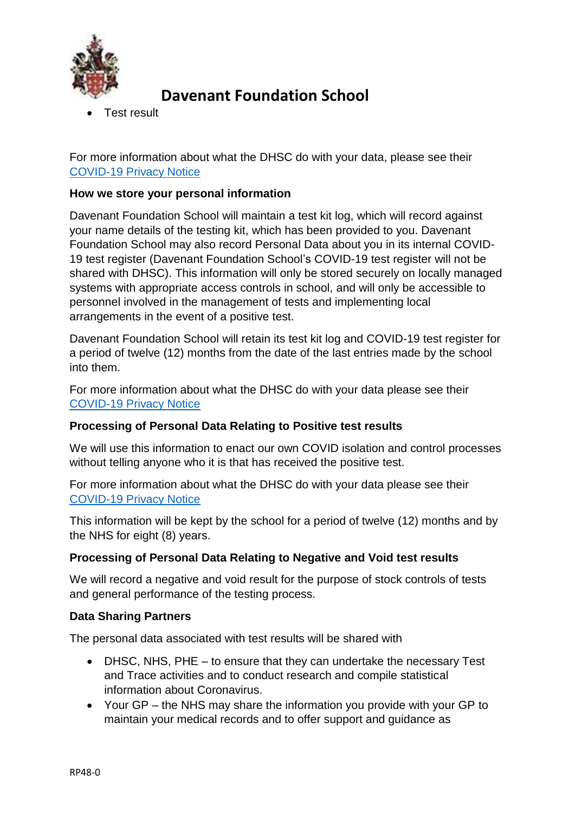

Test result

For more information about what the DHSC do with your data, please see their [COVID-19 Privacy Notice](https://www.gov.uk/government/publications/coronavirus-covid-19-testing-privacy-information)

#### **How we store your personal information**

Davenant Foundation School will maintain a test kit log, which will record against your name details of the testing kit, which has been provided to you. Davenant Foundation School may also record Personal Data about you in its internal COVID-19 test register (Davenant Foundation School's COVID-19 test register will not be shared with DHSC). This information will only be stored securely on locally managed systems with appropriate access controls in school, and will only be accessible to personnel involved in the management of tests and implementing local arrangements in the event of a positive test.

Davenant Foundation School will retain its test kit log and COVID-19 test register for a period of twelve (12) months from the date of the last entries made by the school into them.

For more information about what the DHSC do with your data please see their [COVID-19 Privacy Notice](https://www.gov.uk/government/publications/coronavirus-covid-19-testing-privacy-information)

#### **Processing of Personal Data Relating to Positive test results**

We will use this information to enact our own COVID isolation and control processes without telling anyone who it is that has received the positive test.

For more information about what the DHSC do with your data please see their [COVID-19 Privacy Notice](https://www.gov.uk/government/publications/coronavirus-covid-19-testing-privacy-information)

This information will be kept by the school for a period of twelve (12) months and by the NHS for eight (8) years.

#### **Processing of Personal Data Relating to Negative and Void test results**

We will record a negative and void result for the purpose of stock controls of tests and general performance of the testing process.

#### **Data Sharing Partners**

The personal data associated with test results will be shared with

- DHSC, NHS, PHE to ensure that they can undertake the necessary Test and Trace activities and to conduct research and compile statistical information about Coronavirus.
- Your GP the NHS may share the information you provide with your GP to maintain your medical records and to offer support and guidance as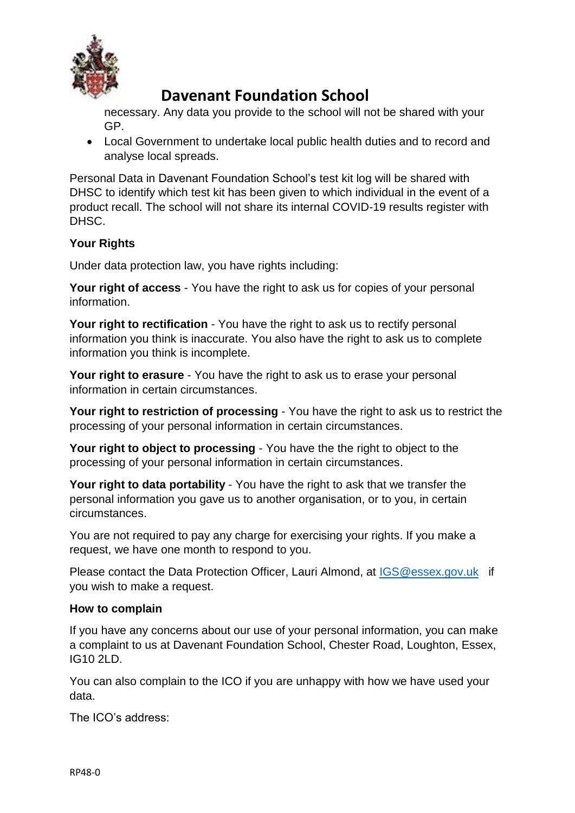

necessary. Any data you provide to the school will not be shared with your GP.

 Local Government to undertake local public health duties and to record and analyse local spreads.

Personal Data in Davenant Foundation School's test kit log will be shared with DHSC to identify which test kit has been given to which individual in the event of a product recall. The school will not share its internal COVID-19 results register with DHSC.

### **Your Rights**

Under data protection law, you have rights including:

**Your right of access** - You have the right to ask us for copies of your personal information.

**Your right to rectification** - You have the right to ask us to rectify personal information you think is inaccurate. You also have the right to ask us to complete information you think is incomplete.

**Your right to erasure** - You have the right to ask us to erase your personal information in certain circumstances.

**Your right to restriction of processing** - You have the right to ask us to restrict the processing of your personal information in certain circumstances.

**Your right to object to processing** - You have the the right to object to the processing of your personal information in certain circumstances.

**Your right to data portability** - You have the right to ask that we transfer the personal information you gave us to another organisation, or to you, in certain circumstances.

You are not required to pay any charge for exercising your rights. If you make a request, we have one month to respond to you.

Please contact the Data Protection Officer, Lauri Almond, at [IGS@essex.gov.uk](mailto:IGS@essex.gov.uk) if you wish to make a request.

#### **How to complain**

If you have any concerns about our use of your personal information, you can make a complaint to us at Davenant Foundation School, Chester Road, Loughton, Essex, IG10 2LD.

You can also complain to the ICO if you are unhappy with how we have used your data.

The ICO's address: